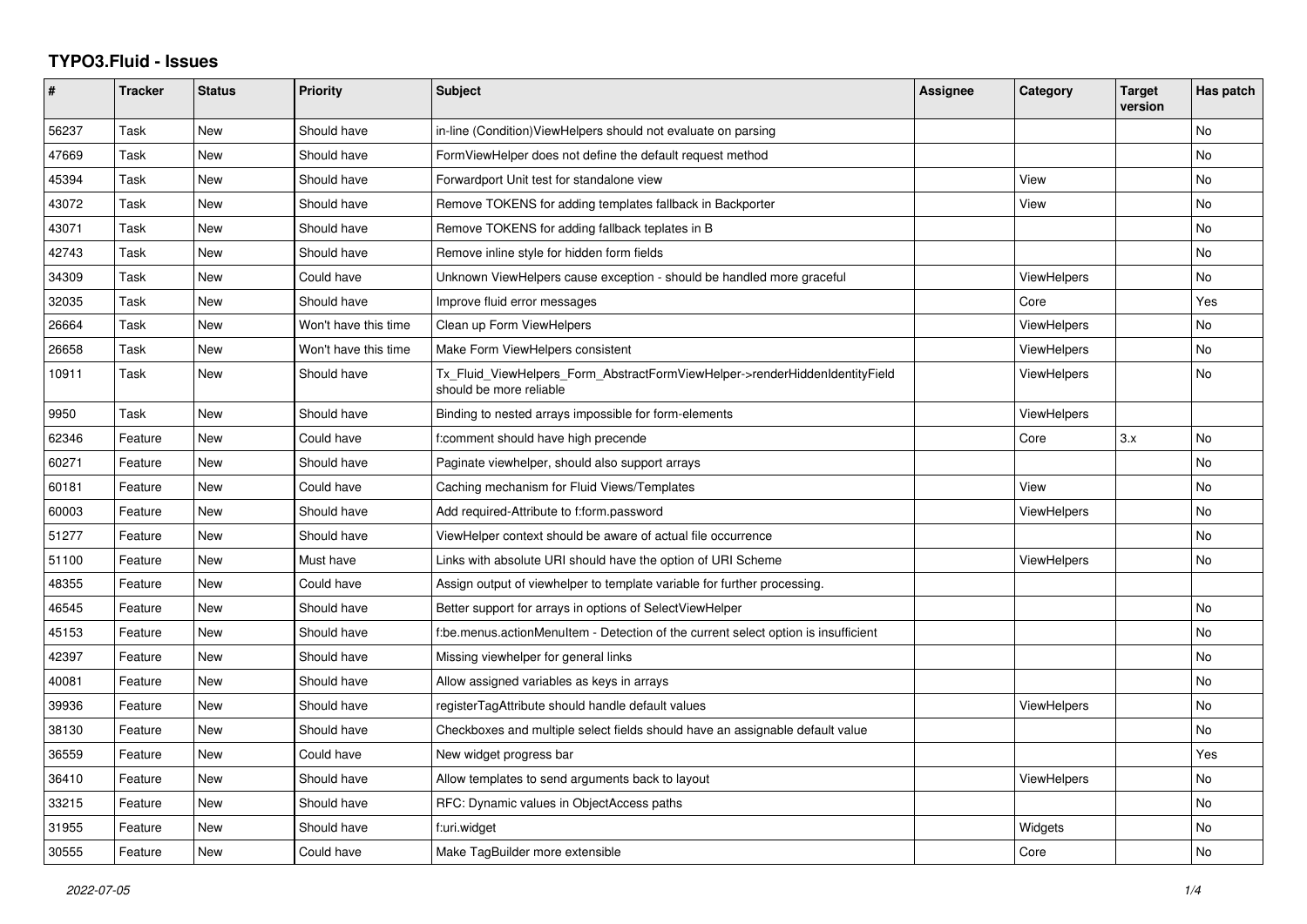## **TYPO3.Fluid - Issues**

| $\pmb{\#}$ | <b>Tracker</b> | <b>Status</b> | <b>Priority</b>      | <b>Subject</b>                                                                                         | Assignee | Category           | <b>Target</b><br>version | Has patch |
|------------|----------------|---------------|----------------------|--------------------------------------------------------------------------------------------------------|----------|--------------------|--------------------------|-----------|
| 56237      | Task           | New           | Should have          | in-line (Condition) View Helpers should not evaluate on parsing                                        |          |                    |                          | <b>No</b> |
| 47669      | Task           | <b>New</b>    | Should have          | FormViewHelper does not define the default request method                                              |          |                    |                          | <b>No</b> |
| 45394      | Task           | New           | Should have          | Forwardport Unit test for standalone view                                                              |          | View               |                          | No        |
| 43072      | Task           | New           | Should have          | Remove TOKENS for adding templates fallback in Backporter                                              |          | View               |                          | No        |
| 43071      | Task           | <b>New</b>    | Should have          | Remove TOKENS for adding fallback teplates in B                                                        |          |                    |                          | <b>No</b> |
| 42743      | Task           | New           | Should have          | Remove inline style for hidden form fields                                                             |          |                    |                          | No        |
| 34309      | Task           | New           | Could have           | Unknown ViewHelpers cause exception - should be handled more graceful                                  |          | <b>ViewHelpers</b> |                          | <b>No</b> |
| 32035      | Task           | <b>New</b>    | Should have          | Improve fluid error messages                                                                           |          | Core               |                          | Yes       |
| 26664      | Task           | <b>New</b>    | Won't have this time | Clean up Form ViewHelpers                                                                              |          | <b>ViewHelpers</b> |                          | No        |
| 26658      | Task           | New           | Won't have this time | Make Form ViewHelpers consistent                                                                       |          | <b>ViewHelpers</b> |                          | No        |
| 10911      | Task           | <b>New</b>    | Should have          | Tx Fluid ViewHelpers Form AbstractFormViewHelper->renderHiddenIdentityField<br>should be more reliable |          | <b>ViewHelpers</b> |                          | <b>No</b> |
| 9950       | Task           | <b>New</b>    | Should have          | Binding to nested arrays impossible for form-elements                                                  |          | <b>ViewHelpers</b> |                          |           |
| 62346      | Feature        | New           | Could have           | f:comment should have high precende                                                                    |          | Core               | 3.x                      | <b>No</b> |
| 60271      | Feature        | New           | Should have          | Paginate viewhelper, should also support arrays                                                        |          |                    |                          | No        |
| 60181      | Feature        | <b>New</b>    | Could have           | Caching mechanism for Fluid Views/Templates                                                            |          | View               |                          | <b>No</b> |
| 60003      | Feature        | New           | Should have          | Add required-Attribute to f:form.password                                                              |          | ViewHelpers        |                          | No        |
| 51277      | Feature        | New           | Should have          | ViewHelper context should be aware of actual file occurrence                                           |          |                    |                          | <b>No</b> |
| 51100      | Feature        | New           | Must have            | Links with absolute URI should have the option of URI Scheme                                           |          | <b>ViewHelpers</b> |                          | No        |
| 48355      | Feature        | New           | Could have           | Assign output of viewhelper to template variable for further processing.                               |          |                    |                          |           |
| 46545      | Feature        | New           | Should have          | Better support for arrays in options of SelectViewHelper                                               |          |                    |                          | No        |
| 45153      | Feature        | New           | Should have          | f:be.menus.actionMenuItem - Detection of the current select option is insufficient                     |          |                    |                          | <b>No</b> |
| 42397      | Feature        | <b>New</b>    | Should have          | Missing viewhelper for general links                                                                   |          |                    |                          | <b>No</b> |
| 40081      | Feature        | New           | Should have          | Allow assigned variables as keys in arrays                                                             |          |                    |                          | No        |
| 39936      | Feature        | <b>New</b>    | Should have          | registerTagAttribute should handle default values                                                      |          | <b>ViewHelpers</b> |                          | <b>No</b> |
| 38130      | Feature        | <b>New</b>    | Should have          | Checkboxes and multiple select fields should have an assignable default value                          |          |                    |                          | <b>No</b> |
| 36559      | Feature        | New           | Could have           | New widget progress bar                                                                                |          |                    |                          | Yes       |
| 36410      | Feature        | New           | Should have          | Allow templates to send arguments back to layout                                                       |          | ViewHelpers        |                          | No        |
| 33215      | Feature        | <b>New</b>    | Should have          | RFC: Dynamic values in ObjectAccess paths                                                              |          |                    |                          | <b>No</b> |
| 31955      | Feature        | New           | Should have          | f:uri.widget                                                                                           |          | Widgets            |                          | No        |
| 30555      | Feature        | <b>New</b>    | Could have           | Make TagBuilder more extensible                                                                        |          | Core               |                          | <b>No</b> |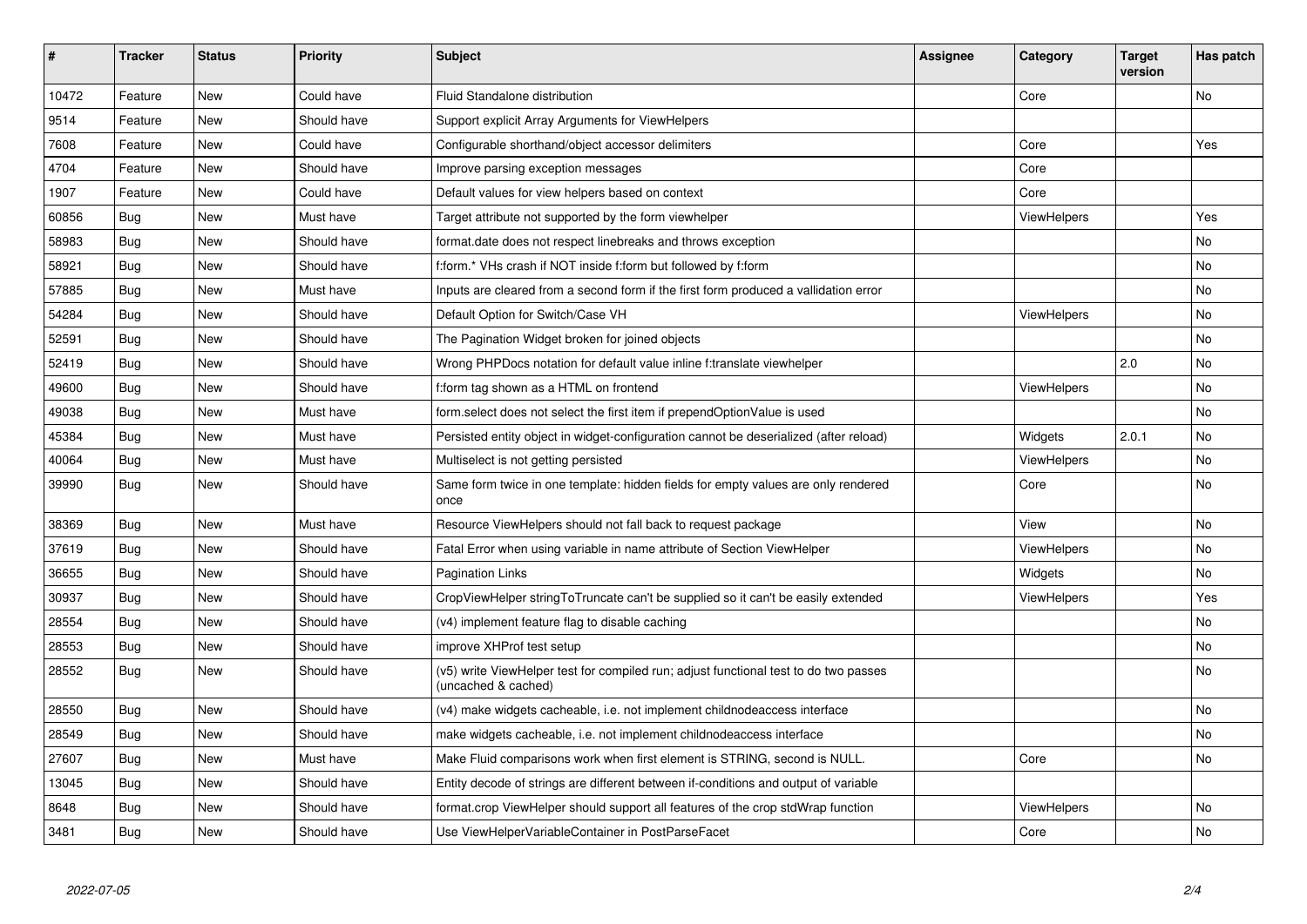| #     | <b>Tracker</b> | <b>Status</b> | <b>Priority</b> | <b>Subject</b>                                                                                              | <b>Assignee</b> | Category           | <b>Target</b><br>version | Has patch |
|-------|----------------|---------------|-----------------|-------------------------------------------------------------------------------------------------------------|-----------------|--------------------|--------------------------|-----------|
| 10472 | Feature        | New           | Could have      | Fluid Standalone distribution                                                                               |                 | Core               |                          | <b>No</b> |
| 9514  | Feature        | New           | Should have     | Support explicit Array Arguments for ViewHelpers                                                            |                 |                    |                          |           |
| 7608  | Feature        | New           | Could have      | Configurable shorthand/object accessor delimiters                                                           |                 | Core               |                          | Yes       |
| 4704  | Feature        | New           | Should have     | Improve parsing exception messages                                                                          |                 | Core               |                          |           |
| 1907  | Feature        | New           | Could have      | Default values for view helpers based on context                                                            |                 | Core               |                          |           |
| 60856 | Bug            | New           | Must have       | Target attribute not supported by the form viewhelper                                                       |                 | <b>ViewHelpers</b> |                          | Yes       |
| 58983 | <b>Bug</b>     | <b>New</b>    | Should have     | format.date does not respect linebreaks and throws exception                                                |                 |                    |                          | <b>No</b> |
| 58921 | Bug            | New           | Should have     | f:form.* VHs crash if NOT inside f:form but followed by f:form                                              |                 |                    |                          | No        |
| 57885 | Bug            | New           | Must have       | Inputs are cleared from a second form if the first form produced a vallidation error                        |                 |                    |                          | <b>No</b> |
| 54284 | Bug            | New           | Should have     | Default Option for Switch/Case VH                                                                           |                 | ViewHelpers        |                          | No        |
| 52591 | <b>Bug</b>     | New           | Should have     | The Pagination Widget broken for joined objects                                                             |                 |                    |                          | <b>No</b> |
| 52419 | <b>Bug</b>     | New           | Should have     | Wrong PHPDocs notation for default value inline f:translate viewhelper                                      |                 |                    | 2.0                      | <b>No</b> |
| 49600 | Bug            | New           | Should have     | f:form tag shown as a HTML on frontend                                                                      |                 | ViewHelpers        |                          | <b>No</b> |
| 49038 | <b>Bug</b>     | New           | Must have       | form select does not select the first item if prependOptionValue is used                                    |                 |                    |                          | No        |
| 45384 | Bug            | New           | Must have       | Persisted entity object in widget-configuration cannot be deserialized (after reload)                       |                 | Widgets            | 2.0.1                    | No        |
| 40064 | Bug            | New           | Must have       | Multiselect is not getting persisted                                                                        |                 | <b>ViewHelpers</b> |                          | <b>No</b> |
| 39990 | Bug            | New           | Should have     | Same form twice in one template: hidden fields for empty values are only rendered<br>once                   |                 | Core               |                          | No        |
| 38369 | <b>Bug</b>     | New           | Must have       | Resource ViewHelpers should not fall back to request package                                                |                 | View               |                          | No        |
| 37619 | Bug            | New           | Should have     | Fatal Error when using variable in name attribute of Section ViewHelper                                     |                 | <b>ViewHelpers</b> |                          | No        |
| 36655 | <b>Bug</b>     | New           | Should have     | <b>Pagination Links</b>                                                                                     |                 | Widgets            |                          | No        |
| 30937 | Bug            | New           | Should have     | CropViewHelper stringToTruncate can't be supplied so it can't be easily extended                            |                 | <b>ViewHelpers</b> |                          | Yes       |
| 28554 | Bug            | New           | Should have     | (v4) implement feature flag to disable caching                                                              |                 |                    |                          | <b>No</b> |
| 28553 | Bug            | New           | Should have     | improve XHProf test setup                                                                                   |                 |                    |                          | No        |
| 28552 | <b>Bug</b>     | New           | Should have     | (v5) write ViewHelper test for compiled run; adjust functional test to do two passes<br>(uncached & cached) |                 |                    |                          | No        |
| 28550 | Bug            | New           | Should have     | (v4) make widgets cacheable, i.e. not implement childnodeaccess interface                                   |                 |                    |                          | <b>No</b> |
| 28549 | <b>Bug</b>     | New           | Should have     | make widgets cacheable, i.e. not implement childnodeaccess interface                                        |                 |                    |                          | <b>No</b> |
| 27607 | <b>Bug</b>     | New           | Must have       | Make Fluid comparisons work when first element is STRING, second is NULL.                                   |                 | Core               |                          | No        |
| 13045 | Bug            | New           | Should have     | Entity decode of strings are different between if-conditions and output of variable                         |                 |                    |                          |           |
| 8648  | Bug            | New           | Should have     | format.crop ViewHelper should support all features of the crop stdWrap function                             |                 | ViewHelpers        |                          | No        |
| 3481  | Bug            | New           | Should have     | Use ViewHelperVariableContainer in PostParseFacet                                                           |                 | Core               |                          | No        |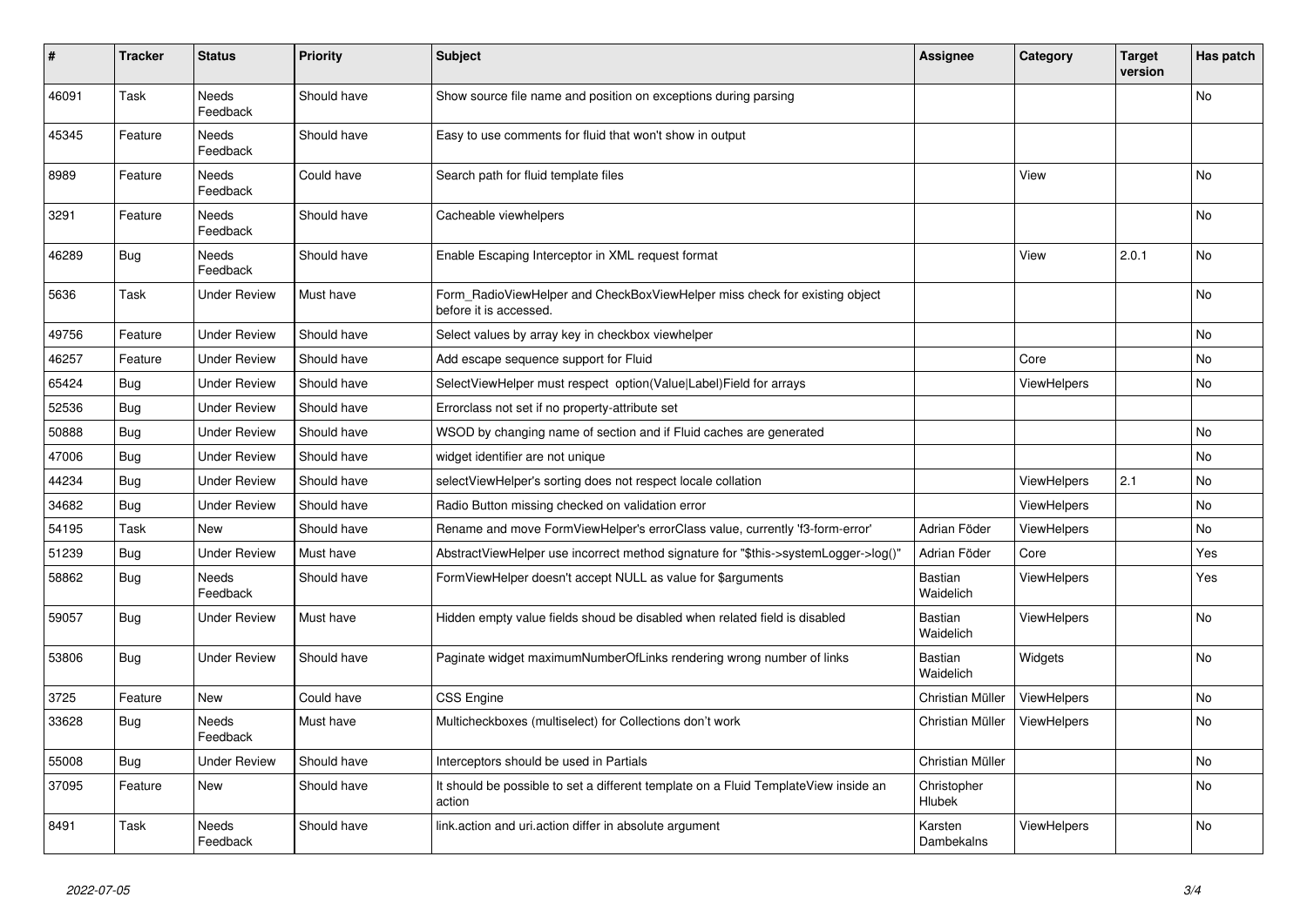| #     | <b>Tracker</b> | <b>Status</b>            | <b>Priority</b> | <b>Subject</b>                                                                                       | Assignee                    | Category           | <b>Target</b><br>version | Has patch |
|-------|----------------|--------------------------|-----------------|------------------------------------------------------------------------------------------------------|-----------------------------|--------------------|--------------------------|-----------|
| 46091 | Task           | <b>Needs</b><br>Feedback | Should have     | Show source file name and position on exceptions during parsing                                      |                             |                    |                          | <b>No</b> |
| 45345 | Feature        | Needs<br>Feedback        | Should have     | Easy to use comments for fluid that won't show in output                                             |                             |                    |                          |           |
| 8989  | Feature        | Needs<br>Feedback        | Could have      | Search path for fluid template files                                                                 |                             | View               |                          | No        |
| 3291  | Feature        | Needs<br>Feedback        | Should have     | Cacheable viewhelpers                                                                                |                             |                    |                          | <b>No</b> |
| 46289 | Bug            | <b>Needs</b><br>Feedback | Should have     | Enable Escaping Interceptor in XML request format                                                    |                             | View               | 2.0.1                    | <b>No</b> |
| 5636  | Task           | <b>Under Review</b>      | Must have       | Form RadioViewHelper and CheckBoxViewHelper miss check for existing object<br>before it is accessed. |                             |                    |                          | No        |
| 49756 | Feature        | <b>Under Review</b>      | Should have     | Select values by array key in checkbox viewhelper                                                    |                             |                    |                          | <b>No</b> |
| 46257 | Feature        | <b>Under Review</b>      | Should have     | Add escape sequence support for Fluid                                                                |                             | Core               |                          | No        |
| 65424 | Bug            | <b>Under Review</b>      | Should have     | SelectViewHelper must respect option(Value Label)Field for arrays                                    |                             | ViewHelpers        |                          | No        |
| 52536 | Bug            | <b>Under Review</b>      | Should have     | Errorclass not set if no property-attribute set                                                      |                             |                    |                          |           |
| 50888 | Bug            | <b>Under Review</b>      | Should have     | WSOD by changing name of section and if Fluid caches are generated                                   |                             |                    |                          | No        |
| 47006 | Bug            | <b>Under Review</b>      | Should have     | widget identifier are not unique                                                                     |                             |                    |                          | <b>No</b> |
| 44234 | <b>Bug</b>     | <b>Under Review</b>      | Should have     | selectViewHelper's sorting does not respect locale collation                                         |                             | ViewHelpers        | 2.1                      | No        |
| 34682 | Bug            | <b>Under Review</b>      | Should have     | Radio Button missing checked on validation error                                                     |                             | <b>ViewHelpers</b> |                          | <b>No</b> |
| 54195 | Task           | New                      | Should have     | Rename and move FormViewHelper's errorClass value, currently 'f3-form-error'                         | Adrian Föder                | <b>ViewHelpers</b> |                          | No        |
| 51239 | Bug            | <b>Under Review</b>      | Must have       | AbstractViewHelper use incorrect method signature for "\$this->systemLogger->log()"                  | Adrian Föder                | Core               |                          | Yes       |
| 58862 | <b>Bug</b>     | Needs<br>Feedback        | Should have     | FormViewHelper doesn't accept NULL as value for \$arguments                                          | Bastian<br>Waidelich        | <b>ViewHelpers</b> |                          | Yes       |
| 59057 | Bug            | Under Review             | Must have       | Hidden empty value fields shoud be disabled when related field is disabled                           | Bastian<br>Waidelich        | <b>ViewHelpers</b> |                          | <b>No</b> |
| 53806 | Bug            | <b>Under Review</b>      | Should have     | Paginate widget maximumNumberOfLinks rendering wrong number of links                                 | <b>Bastian</b><br>Waidelich | Widgets            |                          | <b>No</b> |
| 3725  | Feature        | <b>New</b>               | Could have      | <b>CSS Engine</b>                                                                                    | Christian Müller            | ViewHelpers        |                          | <b>No</b> |
| 33628 | Bug            | <b>Needs</b><br>Feedback | Must have       | Multicheckboxes (multiselect) for Collections don't work                                             | Christian Müller            | <b>ViewHelpers</b> |                          | <b>No</b> |
| 55008 | Bug            | <b>Under Review</b>      | Should have     | Interceptors should be used in Partials                                                              | Christian Müller            |                    |                          | <b>No</b> |
| 37095 | Feature        | New                      | Should have     | It should be possible to set a different template on a Fluid TemplateView inside an<br>action        | Christopher<br>Hlubek       |                    |                          | No        |
| 8491  | Task           | <b>Needs</b><br>Feedback | Should have     | link.action and uri.action differ in absolute argument                                               | Karsten<br>Dambekalns       | ViewHelpers        |                          | <b>No</b> |